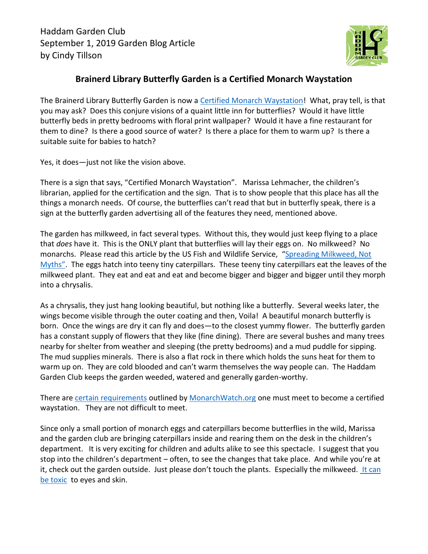

## **Brainerd Library Butterfly Garden is a Certified Monarch Waystation**

The Brainerd Library Butterfly Garden is now a [Certified Monarch Waystation!](https://monarchwatch.org/waystations/waystation_requirements.pdf) What, pray tell, is that you may ask? Does this conjure visions of a quaint little inn for butterflies? Would it have little butterfly beds in pretty bedrooms with floral print wallpaper? Would it have a fine restaurant for them to dine? Is there a good source of water? Is there a place for them to warm up? Is there a suitable suite for babies to hatch?

Yes, it does—just not like the vision above.

There is a sign that says, "Certified Monarch Waystation". Marissa Lehmacher, the children's librarian, applied for the certification and the sign. That is to show people that this place has all the things a monarch needs. Of course, the butterflies can't read that but in butterfly speak, there is a sign at the butterfly garden advertising all of the features they need, mentioned above.

The garden has milkweed, in fact several types. Without this, they would just keep flying to a place that *does* have it. This is the ONLY plant that butterflies will lay their eggs on. No milkweed? No monarchs. Please read this article by the US Fish and Wildlife Service, "Spreading Milkweed, Not [Myths](https://medium.com/usfws/spreading-milkweed-not-myths-5df8c480912d)". The eggs hatch into teeny tiny caterpillars. These teeny tiny caterpillars eat the leaves of the milkweed plant. They eat and eat and eat and become bigger and bigger and bigger until they morph into a chrysalis.

As a chrysalis, they just hang looking beautiful, but nothing like a butterfly. Several weeks later, the wings become visible through the outer coating and then, Voila! A beautiful monarch butterfly is born. Once the wings are dry it can fly and does—to the closest yummy flower. The butterfly garden has a constant supply of flowers that they like (fine dining). There are several bushes and many trees nearby for shelter from weather and sleeping (the pretty bedrooms) and a mud puddle for sipping. The mud supplies minerals. There is also a flat rock in there which holds the suns heat for them to warm up on. They are cold blooded and can't warm themselves the way people can. The Haddam Garden Club keeps the garden weeded, watered and generally garden-worthy.

There are [certain requirements](https://monarchwatch.org/waystations/waystation_requirements.pdf) outlined by [MonarchWatch.org](https://monarchwatch.org/) one must meet to become a certified waystation. They are not difficult to meet.

Since only a small portion of monarch eggs and caterpillars become butterflies in the wild, Marissa and the garden club are bringing caterpillars inside and rearing them on the desk in the children's department. It is very exciting for children and adults alike to see this spectacle. I suggest that you stop into the children's department – often, to see the changes that take place. And while you're at it, check out the garden outside. Just please don't touch the plants. Especially the milkweed. It can [be toxic](https://medium.com/usfws/spreading-milkweed-not-myths-5df8c480912d) to eyes and skin.